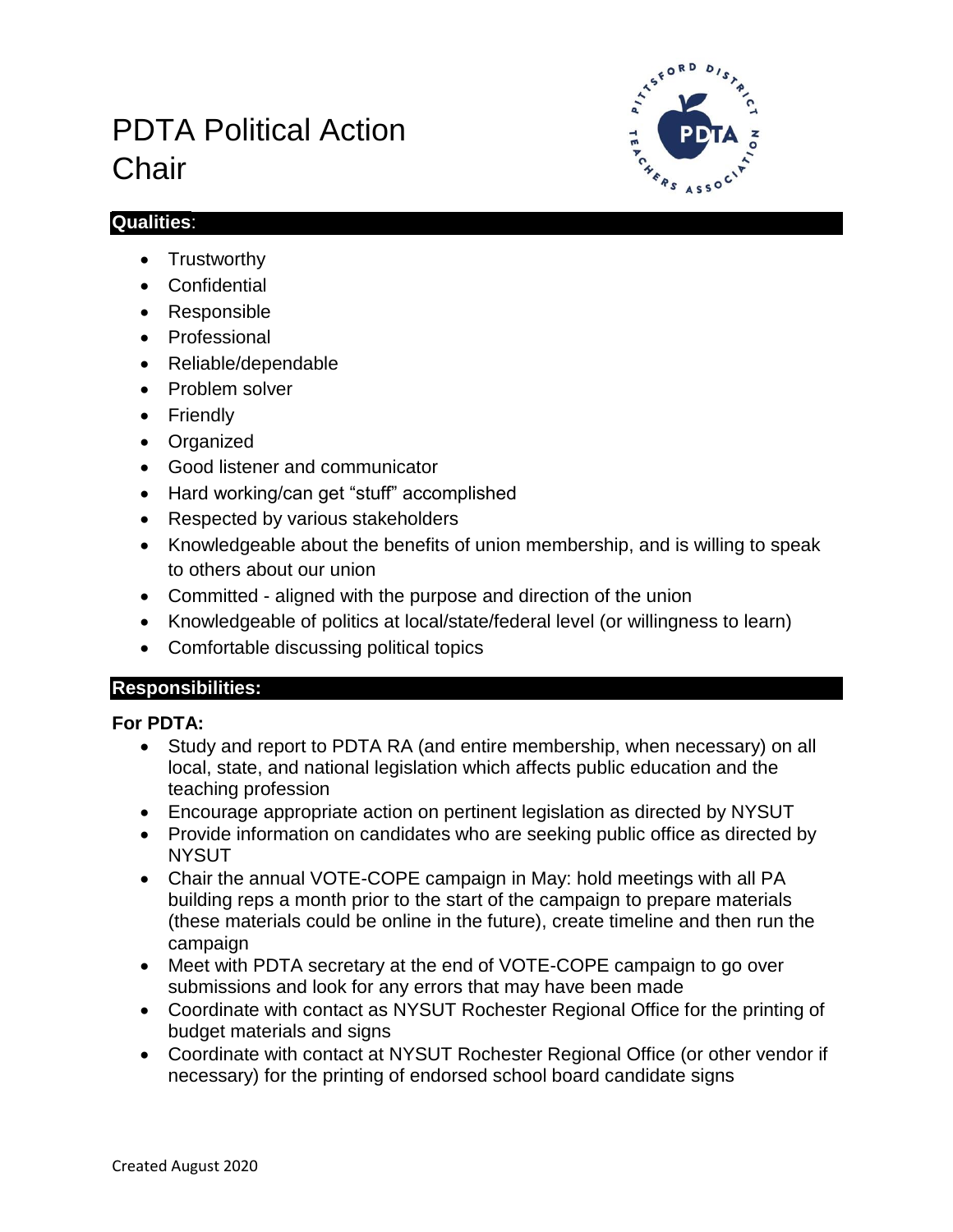# PDTA Political Action **Chair**



## **Qualities**:

- Trustworthy
- Confidential
- Responsible
- Professional
- Reliable/dependable
- Problem solver
- Friendly
- Organized
- Good listener and communicator
- Hard working/can get "stuff" accomplished
- Respected by various stakeholders
- Knowledgeable about the benefits of union membership, and is willing to speak to others about our union
- Committed aligned with the purpose and direction of the union
- Knowledgeable of politics at local/state/federal level (or willingness to learn)
- Comfortable discussing political topics

# **Responsibilities:**

# **For PDTA:**

- Study and report to PDTA RA (and entire membership, when necessary) on all local, state, and national legislation which affects public education and the teaching profession
- Encourage appropriate action on pertinent legislation as directed by NYSUT
- Provide information on candidates who are seeking public office as directed by **NYSUT**
- Chair the annual VOTE-COPE campaign in May: hold meetings with all PA building reps a month prior to the start of the campaign to prepare materials (these materials could be online in the future), create timeline and then run the campaign
- Meet with PDTA secretary at the end of VOTE-COPE campaign to go over submissions and look for any errors that may have been made
- Coordinate with contact as NYSUT Rochester Regional Office for the printing of budget materials and signs
- Coordinate with contact at NYSUT Rochester Regional Office (or other vendor if necessary) for the printing of endorsed school board candidate signs